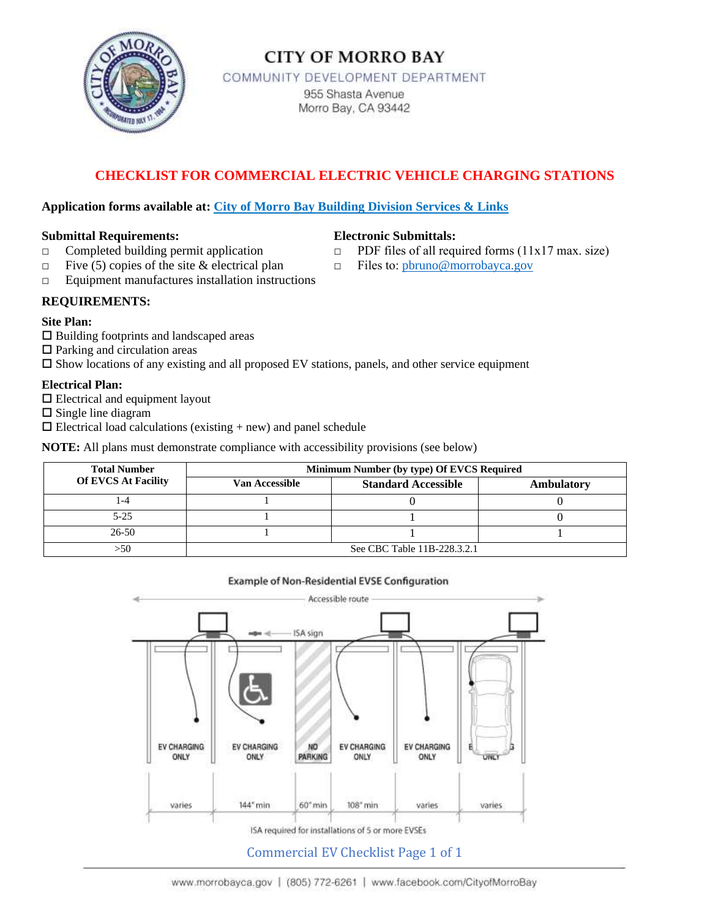

## **CITY OF MORRO BAY**

COMMUNITY DEVELOPMENT DEPARTMENT 955 Shasta Avenue Morro Bay, CA 93442

## **CHECKLIST FOR COMMERCIAL ELECTRIC VEHICLE CHARGING STATIONS**

#### **Application forms available at: City of Morro Bay Building Division Services & Links**

#### **Submittal Requirements: Electronic Submittals:**

- □ Completed building permit application □ PDF files of all required forms (11x17 max. size)
- **□** Five (5) copies of the site & electrical plan □ Files to: [pbruno@morrobayca.gov](mailto:pbruno@morrobayca.gov)
- **□** Equipment manufactures installation instructions
- **REQUIREMENTS:**

#### **Site Plan:**

- Building footprints and landscaped areas
- $\Box$  Parking and circulation areas

 $\square$  Show locations of any existing and all proposed EV stations, panels, and other service equipment

#### **Electrical Plan:**

- $\square$  Electrical and equipment layout
- $\square$  Single line diagram
- $\square$  Electrical load calculations (existing + new) and panel schedule

**NOTE:** All plans must demonstrate compliance with accessibility provisions (see below)

| <b>Total Number</b>        | Minimum Number (by type) Of EVCS Required |                            |            |
|----------------------------|-------------------------------------------|----------------------------|------------|
| <b>Of EVCS At Facility</b> | Van Accessible                            | <b>Standard Accessible</b> | Ambulatory |
| -4                         |                                           |                            |            |
| $5 - 25$                   |                                           |                            |            |
| $26 - 50$                  |                                           |                            |            |
| -50                        | See CBC Table 11B-228.3.2.1               |                            |            |

#### **Example of Non-Residential EVSE Configuration**



### Commercial EV Checklist Page 1 of 1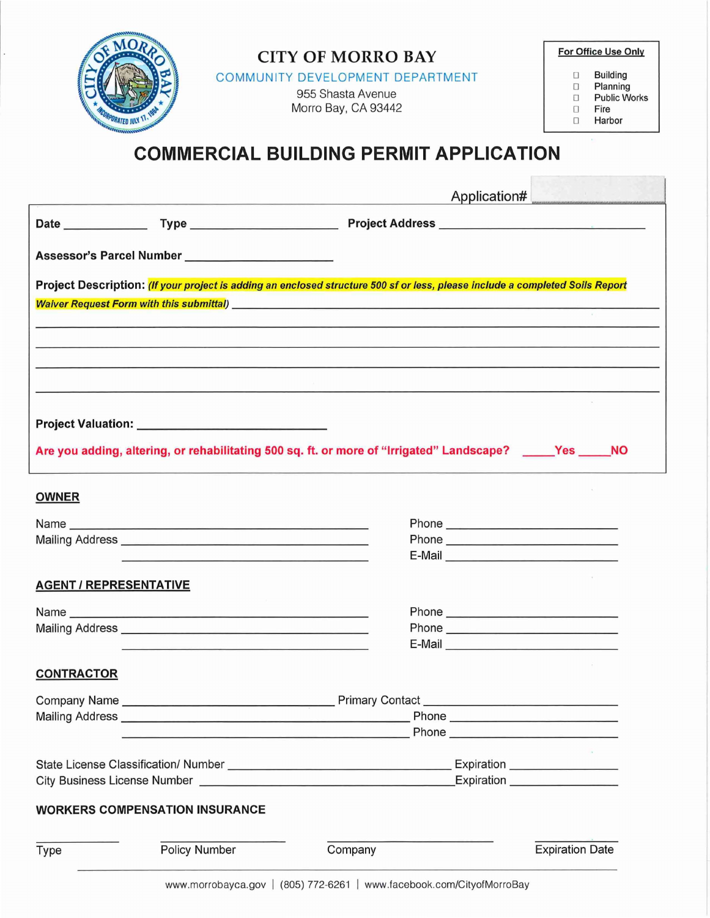

# **COMMERCIAL BUILDING PERMIT APPLICATION**

|                               |                                                                                                                       |                                                                                                                               | Application# |
|-------------------------------|-----------------------------------------------------------------------------------------------------------------------|-------------------------------------------------------------------------------------------------------------------------------|--------------|
|                               |                                                                                                                       |                                                                                                                               |              |
|                               | Assessor's Parcel Number _______________________                                                                      |                                                                                                                               |              |
|                               |                                                                                                                       | Project Description: (If your project is adding an enclosed structure 500 sf or less, please include a completed Soils Report |              |
|                               |                                                                                                                       |                                                                                                                               |              |
|                               |                                                                                                                       |                                                                                                                               |              |
|                               |                                                                                                                       | <u> 1980 - Andrea San Andrea San Andrea San Andrea San Andrea San Andrea San Andrea San Andrea San Andrea San A</u>           |              |
|                               |                                                                                                                       |                                                                                                                               |              |
|                               |                                                                                                                       |                                                                                                                               |              |
|                               |                                                                                                                       |                                                                                                                               |              |
|                               |                                                                                                                       | Are you adding, altering, or rehabilitating 500 sq. ft. or more of "Irrigated" Landscape? _____Yes _____NO                    |              |
|                               |                                                                                                                       |                                                                                                                               |              |
| <b>OWNER</b>                  |                                                                                                                       |                                                                                                                               |              |
|                               |                                                                                                                       |                                                                                                                               |              |
|                               | Name                                                                                                                  |                                                                                                                               |              |
|                               | <u> 1989 - Johann Stoff, deutscher Stoff, der Stoff, der Stoff, der Stoff, der Stoff, der Stoff, der Stoff, der S</u> | E-Mail <b>E-Mail</b>                                                                                                          |              |
| <b>AGENT / REPRESENTATIVE</b> |                                                                                                                       |                                                                                                                               |              |
|                               |                                                                                                                       |                                                                                                                               |              |
|                               |                                                                                                                       |                                                                                                                               |              |
|                               |                                                                                                                       |                                                                                                                               |              |
|                               | <u> 1989 - John Amerikaanse kommerken en de op de op de op de op de op de op de op de op de op de op de op de op</u>  |                                                                                                                               |              |
| <b>CONTRACTOR</b>             |                                                                                                                       |                                                                                                                               |              |
|                               |                                                                                                                       |                                                                                                                               |              |
| Company Name                  | Mailing Address <b>Container and Container and Container and Container and Container</b>                              |                                                                                                                               |              |
|                               | <u> 1989 - Johann John Stein, fransk politiker (</u>                                                                  |                                                                                                                               |              |
|                               |                                                                                                                       |                                                                                                                               |              |
|                               |                                                                                                                       | City Business License Number Law and City Business License Number                                                             |              |
|                               | <b>WORKERS COMPENSATION INSURANCE</b>                                                                                 |                                                                                                                               |              |
|                               |                                                                                                                       |                                                                                                                               |              |